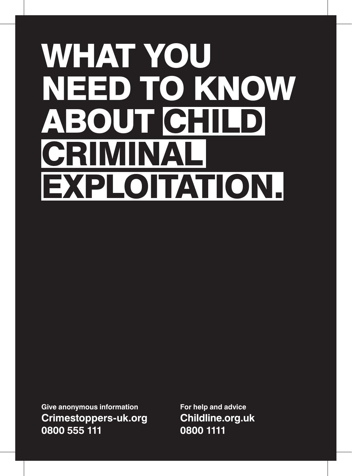# WHAT YOU NEED TO KNOW ABOUT CHILD **CRIMINA** EXPLOITATION.

**Give anonymous information Crimestoppers-uk.org 0800 555 111**

**For help and advice Childline.org.uk 0800 1111**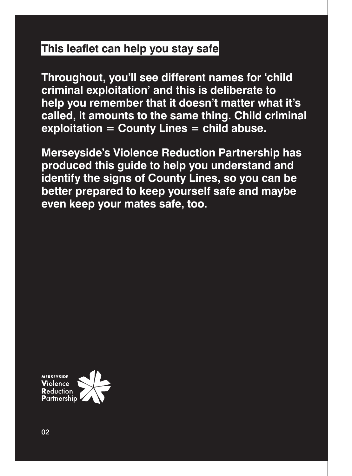## **This leaflet can help you stay safe**

**Throughout, you'll see different names for 'child criminal exploitation' and this is deliberate to help you remember that it doesn't matter what it's called, it amounts to the same thing. Child criminal exploitation = County Lines = child abuse.**

**Merseyside's Violence Reduction Partnership has produced this guide to help you understand and identify the signs of County Lines, so you can be better prepared to keep yourself safe and maybe even keep your mates safe, too.** 

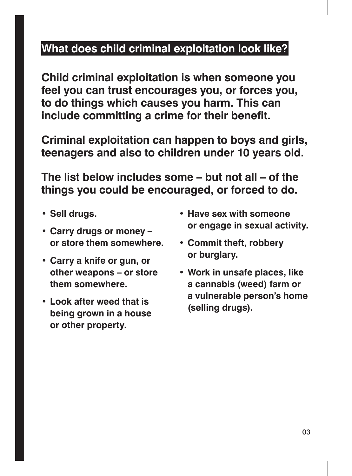## **What does child criminal exploitation look like?**

**Child criminal exploitation is when someone you feel you can trust encourages you, or forces you, to do things which causes you harm. This can include committing a crime for their benefit.** 

**Criminal exploitation can happen to boys and girls, teenagers and also to children under 10 years old.**

**The list below includes some – but not all – of the things you could be encouraged, or forced to do.**

- **• Sell drugs.**
- **• Carry drugs or money or store them somewhere.**
- **• Carry a knife or gun, or other weapons – or store them somewhere.**
- **• Look after weed that is being grown in a house or other property.**
- **• Have sex with someone or engage in sexual activity.**
- **• Commit theft, robbery or burglary.**
- **• Work in unsafe places, like a cannabis (weed) farm or a vulnerable person's home (selling drugs).**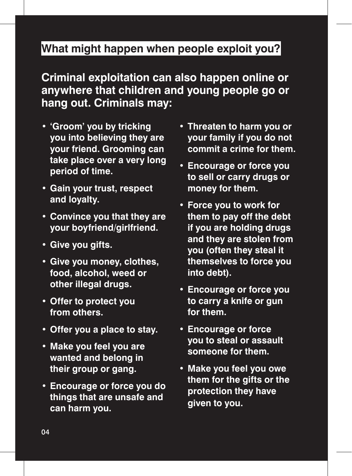## **What might happen when people exploit you?**

**Criminal exploitation can also happen online or anywhere that children and young people go or hang out. Criminals may:**

- **• 'Groom' you by tricking you into believing they are your friend. Grooming can take place over a very long period of time.**
- **• Gain your trust, respect and loyalty.**
- **• Convince you that they are your boyfriend/girlfriend.**
- **• Give you gifts.**
- **• Give you money, clothes, food, alcohol, weed or other illegal drugs.**
- **• Offer to protect you from others.**
- **• Offer you a place to stay.**
- **• Make you feel you are wanted and belong in their group or gang.**
- **• Encourage or force you do things that are unsafe and can harm you.**
- **• Threaten to harm you or your family if you do not commit a crime for them.**
- **• Encourage or force you to sell or carry drugs or money for them.**
- **• Force you to work for them to pay off the debt if you are holding drugs and they are stolen from you (often they steal it themselves to force you into debt).**
- **• Encourage or force you to carry a knife or gun for them.**
- **• Encourage or force you to steal or assault someone for them.**
- **• Make you feel you owe them for the gifts or the protection they have given to you.**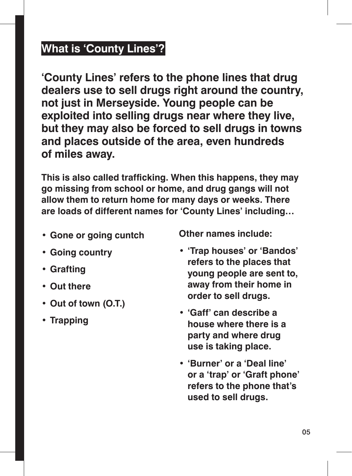## **What is 'County Lines'?**

**'County Lines' refers to the phone lines that drug dealers use to sell drugs right around the country, not just in Merseyside. Young people can be exploited into selling drugs near where they live, but they may also be forced to sell drugs in towns and places outside of the area, even hundreds of miles away.** 

**This is also called trafficking. When this happens, they may go missing from school or home, and drug gangs will not allow them to return home for many days or weeks. There are loads of different names for 'County Lines' including…**

**• Gone or going cuntch**

**Other names include:**

- **• Going country**
- **• Grafting**
- **• Out there**
- **• Out of town (O.T.)**
- **• Trapping**
- **• 'Trap houses' or 'Bandos' refers to the places that young people are sent to, away from their home in order to sell drugs.**
- **• 'Gaff' can describe a house where there is a party and where drug use is taking place.**
- **• 'Burner' or a 'Deal line' or a 'trap' or 'Graft phone' refers to the phone that's used to sell drugs.**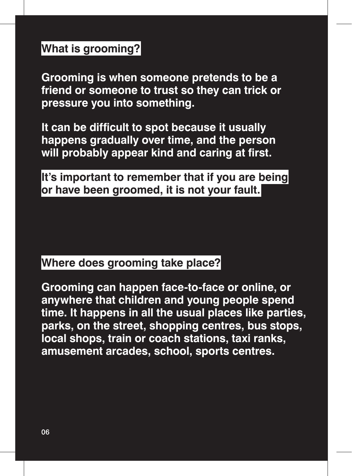## **What is grooming?**

**Grooming is when someone pretends to be a friend or someone to trust so they can trick or pressure you into something.** 

**It can be difficult to spot because it usually happens gradually over time, and the person will probably appear kind and caring at first.**

**It's important to remember that if you are being or have been groomed, it is not your fault.**

## **Where does grooming take place?**

**Grooming can happen face-to-face or online, or anywhere that children and young people spend time. It happens in all the usual places like parties, parks, on the street, shopping centres, bus stops, local shops, train or coach stations, taxi ranks, amusement arcades, school, sports centres.**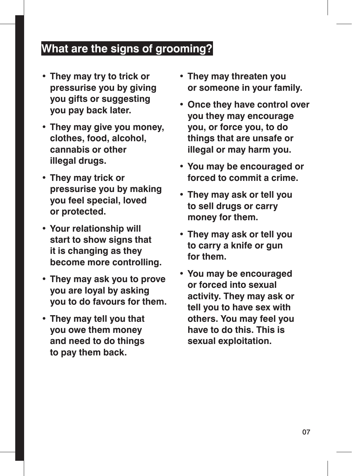## **What are the signs of grooming?**

- **• They may try to trick or pressurise you by giving you gifts or suggesting you pay back later.**
- **• They may give you money, clothes, food, alcohol, cannabis or other illegal drugs.**
- **• They may trick or pressurise you by making you feel special, loved or protected.**
- **• Your relationship will start to show signs that it is changing as they become more controlling.**
- **• They may ask you to prove you are loyal by asking you to do favours for them.**
- **• They may tell you that you owe them money and need to do things to pay them back.**
- **• They may threaten you or someone in your family.**
- **• Once they have control over you they may encourage you, or force you, to do things that are unsafe or illegal or may harm you.**
- **• You may be encouraged or forced to commit a crime.**
- **• They may ask or tell you to sell drugs or carry money for them.**
- **• They may ask or tell you to carry a knife or gun for them.**
- **• You may be encouraged or forced into sexual activity. They may ask or tell you to have sex with others. You may feel you have to do this. This is sexual exploitation.**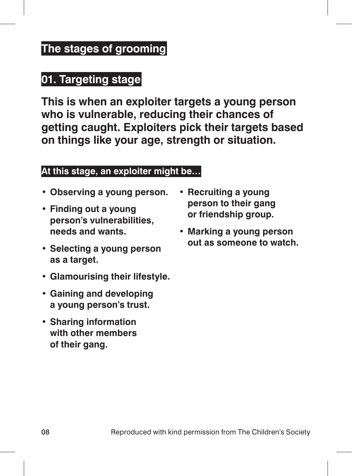## **The stages of grooming**

## **01. Targeting stage**

**This is when an exploiter targets a young person who is vulnerable, reducing their chances of getting caught. Exploiters pick their targets based on things like your age, strength or situation.**

#### **At this stage, an exploiter might be…**

- **• Observing a young person.**
- **• Finding out a young person's vulnerabilities, needs and wants.**
- **• Selecting a young person as a target.**
- **• Glamourising their lifestyle.**
- **• Gaining and developing a young person's trust.**
- **• Sharing information with other members of their gang.**
- **• Recruiting a young person to their gang or friendship group.**
- **• Marking a young person out as someone to watch.**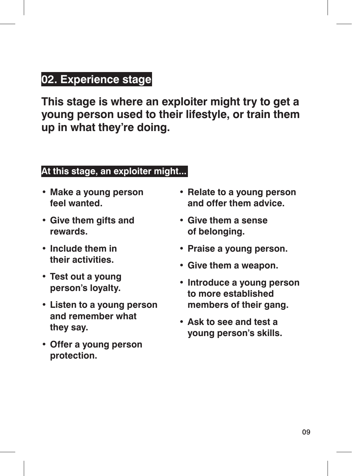## **02. Experience stage**

**This stage is where an exploiter might try to get a young person used to their lifestyle, or train them up in what they're doing.** 

#### **At this stage, an exploiter might...**

- **• Make a young person feel wanted.**
- **• Give them gifts and rewards.**
- **• Include them in their activities.**
- **• Test out a young person's loyalty.**
- **• Listen to a young person and remember what they say.**
- **• Offer a young person protection.**
- **• Relate to a young person and offer them advice.**
- **• Give them a sense of belonging.**
- **• Praise a young person.**
- **• Give them a weapon.**
- **• Introduce a young person to more established members of their gang.**
- **• Ask to see and test a young person's skills.**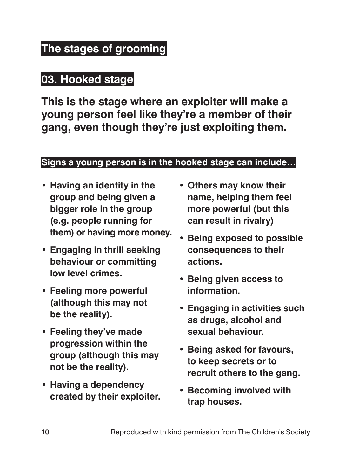## **The stages of grooming**

## **03. Hooked stage**

**This is the stage where an exploiter will make a young person feel like they're a member of their gang, even though they're just exploiting them.**

#### **Signs a young person is in the hooked stage can include…**

- **• Having an identity in the group and being given a bigger role in the group (e.g. people running for them) or having more money.**
- **• Engaging in thrill seeking behaviour or committing low level crimes.**
- **• Feeling more powerful (although this may not be the reality).**
- **• Feeling they've made progression within the group (although this may not be the reality).**
- **• Having a dependency created by their exploiter.**
- **• Others may know their name, helping them feel more powerful (but this can result in rivalry)**
- **• Being exposed to possible consequences to their actions.**
- **• Being given access to information.**
- **• Engaging in activities such as drugs, alcohol and sexual behaviour.**
- **• Being asked for favours, to keep secrets or to recruit others to the gang.**
- **• Becoming involved with trap houses.**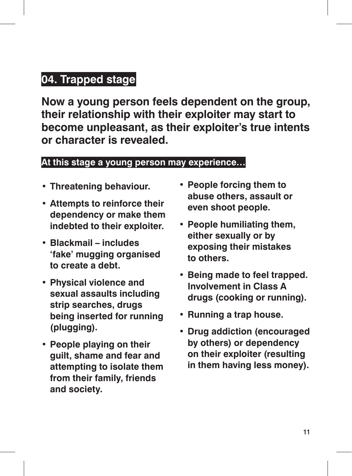## **04. Trapped stage**

**Now a young person feels dependent on the group, their relationship with their exploiter may start to become unpleasant, as their exploiter's true intents or character is revealed.**

#### **At this stage a young person may experience…**

- **• Threatening behaviour.**
- **• Attempts to reinforce their dependency or make them indebted to their exploiter.**
- **• Blackmail includes 'fake' mugging organised to create a debt.**
- **• Physical violence and sexual assaults including strip searches, drugs being inserted for running (plugging).**
- **• People playing on their guilt, shame and fear and attempting to isolate them from their family, friends and society.**
- **• People forcing them to abuse others, assault or even shoot people.**
- **• People humiliating them, either sexually or by exposing their mistakes to others.**
- **• Being made to feel trapped. Involvement in Class A drugs (cooking or running).**
- **• Running a trap house.**
- **• Drug addiction (encouraged by others) or dependency on their exploiter (resulting in them having less money).**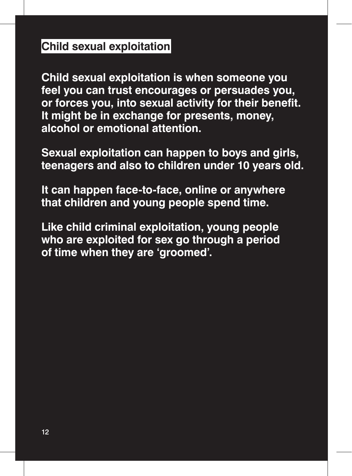## **Child sexual exploitation**

**Child sexual exploitation is when someone you feel you can trust encourages or persuades you, or forces you, into sexual activity for their benefit. It might be in exchange for presents, money, alcohol or emotional attention.** 

**Sexual exploitation can happen to boys and girls, teenagers and also to children under 10 years old.** 

**It can happen face-to-face, online or anywhere that children and young people spend time.** 

**Like child criminal exploitation, young people who are exploited for sex go through a period of time when they are 'groomed'.**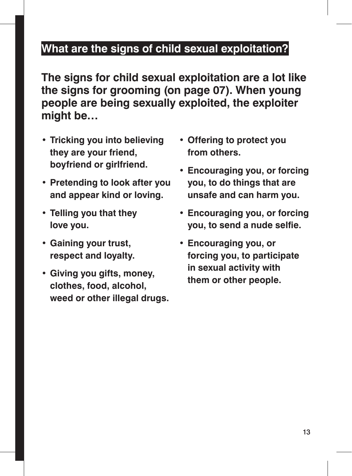## **What are the signs of child sexual exploitation?**

**The signs for child sexual exploitation are a lot like the signs for grooming (on page 07). When young people are being sexually exploited, the exploiter might be…**

- **• Tricking you into believing they are your friend, boyfriend or girlfriend.**
- **• Pretending to look after you and appear kind or loving.**
- **• Telling you that they love you.**
- **• Gaining your trust, respect and loyalty.**
- **• Giving you gifts, money, clothes, food, alcohol, weed or other illegal drugs.**
- **• Offering to protect you from others.**
- **• Encouraging you, or forcing you, to do things that are unsafe and can harm you.**
- **• Encouraging you, or forcing you, to send a nude selfie.**
- **• Encouraging you, or forcing you, to participate in sexual activity with them or other people.**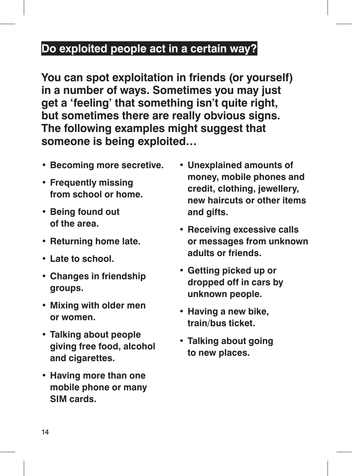## **Do exploited people act in a certain way?**

**You can spot exploitation in friends (or yourself) in a number of ways. Sometimes you may just get a 'feeling' that something isn't quite right, but sometimes there are really obvious signs. The following examples might suggest that someone is being exploited…**

- **• Becoming more secretive.**
- **• Frequently missing from school or home.**
- **• Being found out of the area.**
- **• Returning home late.**
- **• Late to school.**
- **• Changes in friendship groups.**
- **• Mixing with older men or women.**
- **• Talking about people giving free food, alcohol and cigarettes.**
- **• Having more than one mobile phone or many SIM cards.**
- **• Unexplained amounts of money, mobile phones and credit, clothing, jewellery, new haircuts or other items and gifts.**
- **• Receiving excessive calls or messages from unknown adults or friends.**
- **• Getting picked up or dropped off in cars by unknown people.**
- **• Having a new bike, train/bus ticket.**
- **• Talking about going to new places.**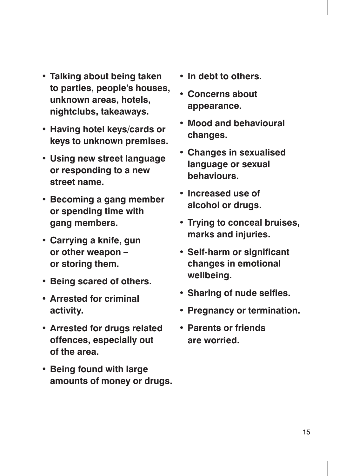- **• Talking about being taken to parties, people's houses, unknown areas, hotels, nightclubs, takeaways.**
- **• Having hotel keys/cards or keys to unknown premises.**
- **• Using new street language or responding to a new street name.**
- **• Becoming a gang member or spending time with gang members.**
- **• Carrying a knife, gun or other weapon – or storing them.**
- **• Being scared of others.**
- **• Arrested for criminal activity.**
- **• Arrested for drugs related offences, especially out of the area.**
- **• Being found with large amounts of money or drugs.**
- **• In debt to others.**
- **• Concerns about appearance.**
- **• Mood and behavioural changes.**
- **• Changes in sexualised language or sexual behaviours.**
- **• Increased use of alcohol or drugs.**
- **• Trying to conceal bruises, marks and injuries.**
- **• Self-harm or significant changes in emotional wellbeing.**
- **• Sharing of nude selfies.**
- **• Pregnancy or termination.**
- **• Parents or friends are worried.**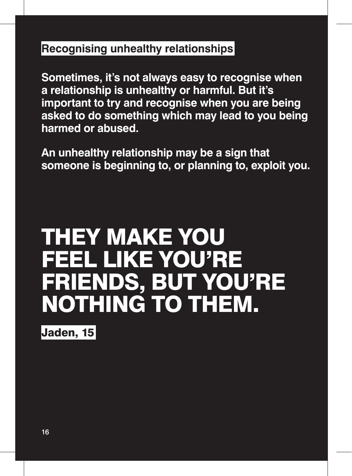## **Recognising unhealthy relationships**

**Sometimes, it's not always easy to recognise when a relationship is unhealthy or harmful. But it's important to try and recognise when you are being asked to do something which may lead to you being harmed or abused.**

**An unhealthy relationship may be a sign that someone is beginning to, or planning to, exploit you.** 

## THEY MAKE YOU FEEL LIKE YOU'RE FRIENDS, BUT YOU'RE NOTHING TO THEM.

Jaden, 15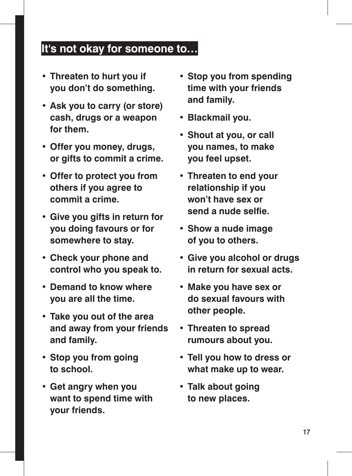## **It's not okay for someone to…**

- **• Threaten to hurt you if you don't do something.**
- **• Ask you to carry (or store) cash, drugs or a weapon for them.**
- **• Offer you money, drugs, or gifts to commit a crime.**
- **• Offer to protect you from others if you agree to commit a crime.**
- **• Give you gifts in return for you doing favours or for somewhere to stay.**
- **• Check your phone and control who you speak to.**
- **• Demand to know where you are all the time.**
- **• Take you out of the area and away from your friends and family.**
- **• Stop you from going to school.**
- **• Get angry when you want to spend time with your friends.**
- **• Stop you from spending time with your friends and family.**
- **• Blackmail you.**
- **• Shout at you, or call you names, to make you feel upset.**
- **• Threaten to end your relationship if you won't have sex or send a nude selfie.**
- **• Show a nude image of you to others.**
- **• Give you alcohol or drugs in return for sexual acts.**
- **• Make you have sex or do sexual favours with other people.**
- **• Threaten to spread rumours about you.**
- **• Tell you how to dress or what make up to wear.**
- **• Talk about going to new places.**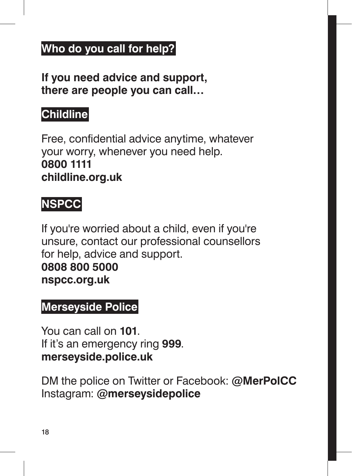## **Who do you call for help?**

**If you need advice and support, there are people you can call…**

## **Childline**

Free, confidential advice anytime, whatever your worry, whenever you need help. **0800 1111 childline.org.uk**

## **NSPCC**

If you're worried about a child, even if you're unsure, contact our professional counsellors for help, advice and support. **0808 800 5000 nspcc.org.uk**

## **Merseyside Police**

You can call on **101**. If it's an emergency ring **999**. **merseyside.police.uk**

DM the police on Twitter or Facebook: **@MerPolCC** Instagram: **@merseysidepolice**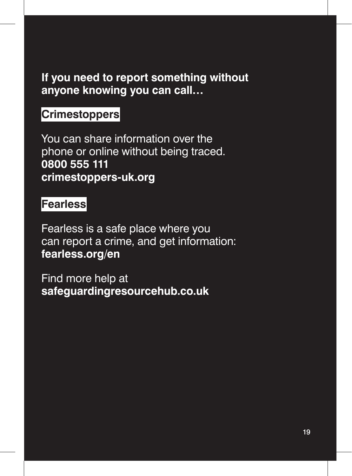## **If you need to report something without anyone knowing you can call…**

## **Crimestoppers**

You can share information over the phone or online without being traced. **0800 555 111 crimestoppers-uk.org**

## **Fearless**

Fearless is a safe place where you can report a crime, and get information: **fearless.org/en** 

Find more help at **safeguardingresourcehub.co.uk**